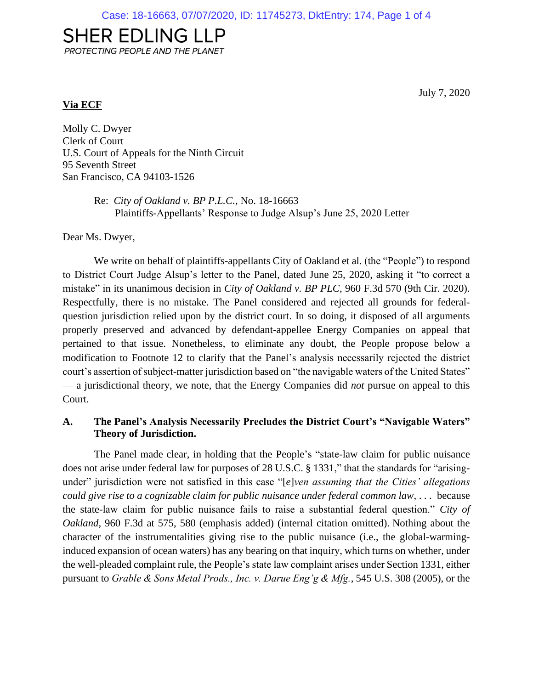# **SHER EDLING LLP**

PROTECTING PEOPLE AND THE PLANET

#### **Via ECF**

July 7, 2020

Molly C. Dwyer Clerk of Court U.S. Court of Appeals for the Ninth Circuit 95 Seventh Street San Francisco, CA 94103-1526

> Re: *City of Oakland v. BP P.L.C.,* No. 18-16663 Plaintiffs-Appellants' Response to Judge Alsup's June 25, 2020 Letter

Dear Ms. Dwyer,

We write on behalf of plaintiffs-appellants City of Oakland et al. (the "People") to respond to District Court Judge Alsup's letter to the Panel, dated June 25, 2020, asking it "to correct a mistake" in its unanimous decision in *City of Oakland v. BP PLC*, 960 F.3d 570 (9th Cir. 2020). Respectfully, there is no mistake. The Panel considered and rejected all grounds for federalquestion jurisdiction relied upon by the district court. In so doing, it disposed of all arguments properly preserved and advanced by defendant-appellee Energy Companies on appeal that pertained to that issue. Nonetheless, to eliminate any doubt, the People propose below a modification to Footnote 12 to clarify that the Panel's analysis necessarily rejected the district court's assertion of subject-matter jurisdiction based on "the navigable waters of the United States" — a jurisdictional theory, we note, that the Energy Companies did *not* pursue on appeal to this Court.

### **A. The Panel's Analysis Necessarily Precludes the District Court's "Navigable Waters" Theory of Jurisdiction.**

The Panel made clear, in holding that the People's "state-law claim for public nuisance does not arise under federal law for purposes of 28 U.S.C. § 1331," that the standards for "arisingunder" jurisdiction were not satisfied in this case "[*e*]*ven assuming that the Cities' allegations could give rise to a cognizable claim for public nuisance under federal common law*, . . . because the state-law claim for public nuisance fails to raise a substantial federal question." *City of Oakland*, 960 F.3d at 575, 580 (emphasis added) (internal citation omitted). Nothing about the character of the instrumentalities giving rise to the public nuisance (i.e., the global-warminginduced expansion of ocean waters) has any bearing on that inquiry, which turns on whether, under the well-pleaded complaint rule, the People's state law complaint arises under Section 1331, either pursuant to *Grable & Sons Metal Prods., Inc. v. Darue Eng'g & Mfg.*, 545 U.S. 308 (2005), or the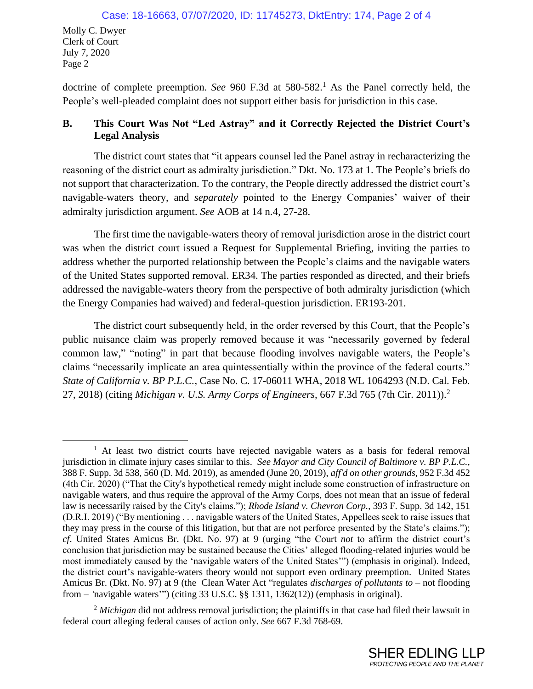doctrine of complete preemption. *See* 960 F.3d at 580-582. <sup>1</sup> As the Panel correctly held, the People's well-pleaded complaint does not support either basis for jurisdiction in this case.

## **B. This Court Was Not "Led Astray" and it Correctly Rejected the District Court's Legal Analysis**

The district court states that "it appears counsel led the Panel astray in recharacterizing the reasoning of the district court as admiralty jurisdiction." Dkt. No. 173 at 1. The People's briefs do not support that characterization. To the contrary, the People directly addressed the district court's navigable-waters theory, and *separately* pointed to the Energy Companies' waiver of their admiralty jurisdiction argument. *See* AOB at 14 n.4, 27-28.

The first time the navigable-waters theory of removal jurisdiction arose in the district court was when the district court issued a Request for Supplemental Briefing, inviting the parties to address whether the purported relationship between the People's claims and the navigable waters of the United States supported removal. ER34. The parties responded as directed, and their briefs addressed the navigable-waters theory from the perspective of both admiralty jurisdiction (which the Energy Companies had waived) and federal-question jurisdiction. ER193-201.

The district court subsequently held, in the order reversed by this Court, that the People's public nuisance claim was properly removed because it was "necessarily governed by federal common law," "noting" in part that because flooding involves navigable waters, the People's claims "necessarily implicate an area quintessentially within the province of the federal courts." *State of California v. BP P.L.C.*, Case No. C. 17-06011 WHA, 2018 WL 1064293 (N.D. Cal. Feb. 27, 2018) (citing *Michigan v. U.S. Army Corps of Engineers*, 667 F.3d 765 (7th Cir. 2011)). 2

<sup>&</sup>lt;sup>1</sup> At least two district courts have rejected navigable waters as a basis for federal removal jurisdiction in climate injury cases similar to this. *See Mayor and City Council of Baltimore v. BP P.L.C.,*  388 F. Supp. 3d 538, 560 (D. Md. 2019), as amended (June 20, 2019), *aff'd on other grounds*, 952 F.3d 452 (4th Cir. 2020) ("That the City's hypothetical remedy might include some construction of infrastructure on navigable waters, and thus require the approval of the Army Corps, does not mean that an issue of federal law is necessarily raised by the City's claims."); *Rhode Island v. Chevron Corp.*, 393 F. Supp. 3d 142, 151 (D.R.I. 2019) ("By mentioning . . . navigable waters of the United States, Appellees seek to raise issues that they may press in the course of this litigation, but that are not perforce presented by the State's claims."); *cf*. United States Amicus Br. (Dkt. No. 97) at 9 (urging "the Court *not* to affirm the district court's conclusion that jurisdiction may be sustained because the Cities' alleged flooding-related injuries would be most immediately caused by the 'navigable waters of the United States'") (emphasis in original). Indeed, the district court's navigable-waters theory would not support even ordinary preemption. United States Amicus Br. (Dkt. No. 97) at 9 (the Clean Water Act "regulates *discharges of pollutants to* – not flooding from – *'*navigable waters'") (citing 33 U.S.C. §§ 1311, 1362(12)) (emphasis in original).

<sup>&</sup>lt;sup>2</sup> Michigan did not address removal jurisdiction; the plaintiffs in that case had filed their lawsuit in federal court alleging federal causes of action only. *See* 667 F.3d 768-69.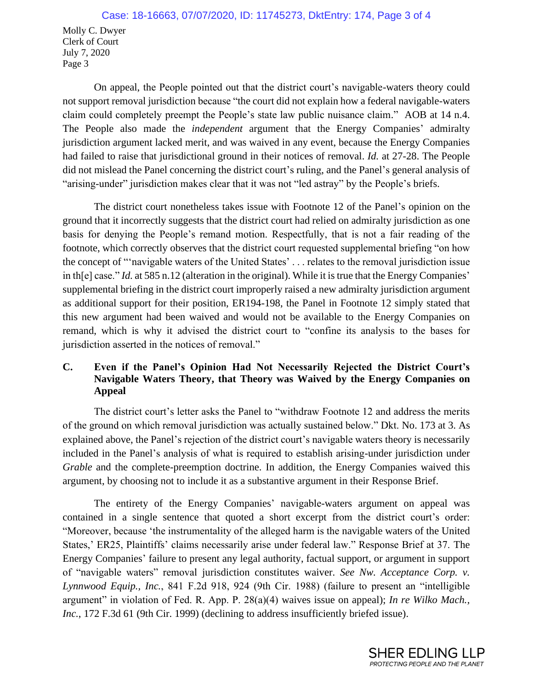Molly C. Dwyer Clerk of Court July 7, 2020 Page 3

On appeal, the People pointed out that the district court's navigable-waters theory could not support removal jurisdiction because "the court did not explain how a federal navigable-waters claim could completely preempt the People's state law public nuisance claim." AOB at 14 n.4. The People also made the *independent* argument that the Energy Companies' admiralty jurisdiction argument lacked merit, and was waived in any event, because the Energy Companies had failed to raise that jurisdictional ground in their notices of removal. *Id.* at 27-28. The People did not mislead the Panel concerning the district court's ruling, and the Panel's general analysis of "arising-under" jurisdiction makes clear that it was not "led astray" by the People's briefs.

The district court nonetheless takes issue with Footnote 12 of the Panel's opinion on the ground that it incorrectly suggests that the district court had relied on admiralty jurisdiction as one basis for denying the People's remand motion. Respectfully, that is not a fair reading of the footnote, which correctly observes that the district court requested supplemental briefing "on how the concept of "'navigable waters of the United States' . . . relates to the removal jurisdiction issue in th[e] case." *Id.* at 585 n.12 (alteration in the original). While it is true that the Energy Companies' supplemental briefing in the district court improperly raised a new admiralty jurisdiction argument as additional support for their position, ER194-198, the Panel in Footnote 12 simply stated that this new argument had been waived and would not be available to the Energy Companies on remand, which is why it advised the district court to "confine its analysis to the bases for jurisdiction asserted in the notices of removal."

## **C. Even if the Panel's Opinion Had Not Necessarily Rejected the District Court's Navigable Waters Theory, that Theory was Waived by the Energy Companies on Appeal**

The district court's letter asks the Panel to "withdraw Footnote 12 and address the merits of the ground on which removal jurisdiction was actually sustained below." Dkt. No. 173 at 3. As explained above, the Panel's rejection of the district court's navigable waters theory is necessarily included in the Panel's analysis of what is required to establish arising-under jurisdiction under *Grable* and the complete-preemption doctrine. In addition, the Energy Companies waived this argument, by choosing not to include it as a substantive argument in their Response Brief.

The entirety of the Energy Companies' navigable-waters argument on appeal was contained in a single sentence that quoted a short excerpt from the district court's order: "Moreover, because 'the instrumentality of the alleged harm is the navigable waters of the United States,' ER25, Plaintiffs' claims necessarily arise under federal law." Response Brief at 37. The Energy Companies' failure to present any legal authority, factual support, or argument in support of "navigable waters" removal jurisdiction constitutes waiver. *See Nw. Acceptance Corp. v. Lynnwood Equip., Inc.*, 841 F.2d 918, 924 (9th Cir. 1988) (failure to present an "intelligible argument" in violation of Fed. R. App. P. 28(a)(4) waives issue on appeal); *In re Wilko Mach.,*  Inc., 172 F.3d 61 (9th Cir. 1999) (declining to address insufficiently briefed issue).